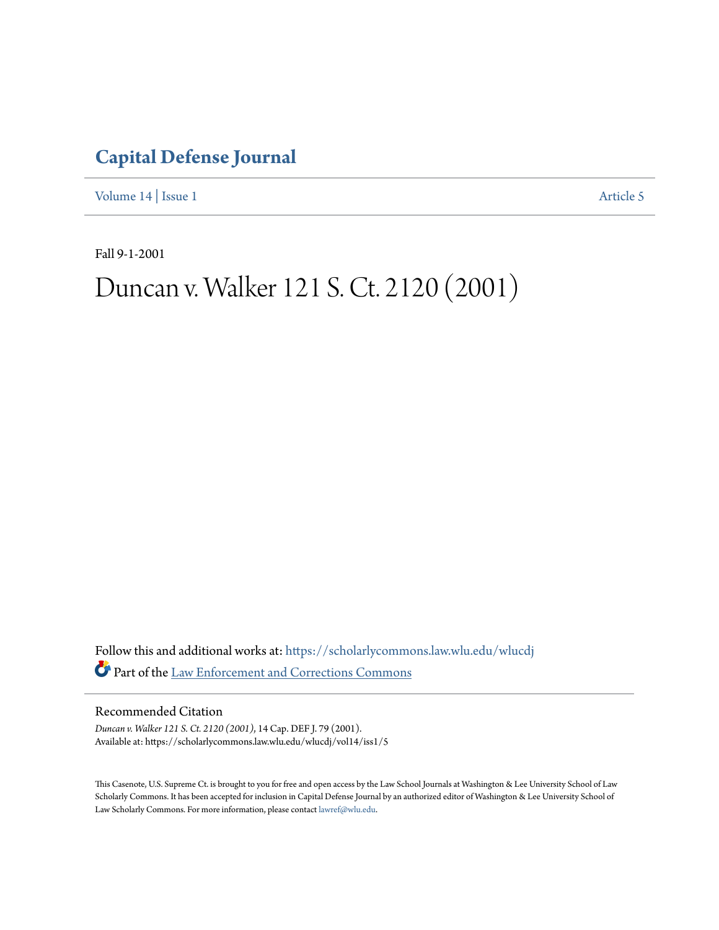## **[Capital Defense Journal](https://scholarlycommons.law.wlu.edu/wlucdj?utm_source=scholarlycommons.law.wlu.edu%2Fwlucdj%2Fvol14%2Fiss1%2F5&utm_medium=PDF&utm_campaign=PDFCoverPages)**

[Volume 14](https://scholarlycommons.law.wlu.edu/wlucdj/vol14?utm_source=scholarlycommons.law.wlu.edu%2Fwlucdj%2Fvol14%2Fiss1%2F5&utm_medium=PDF&utm_campaign=PDFCoverPages) | [Issue 1](https://scholarlycommons.law.wlu.edu/wlucdj/vol14/iss1?utm_source=scholarlycommons.law.wlu.edu%2Fwlucdj%2Fvol14%2Fiss1%2F5&utm_medium=PDF&utm_campaign=PDFCoverPages) [Article 5](https://scholarlycommons.law.wlu.edu/wlucdj/vol14/iss1/5?utm_source=scholarlycommons.law.wlu.edu%2Fwlucdj%2Fvol14%2Fiss1%2F5&utm_medium=PDF&utm_campaign=PDFCoverPages)

Fall 9-1-2001

# Duncan v. Walker 121 S. Ct. 2120 (2001)

Follow this and additional works at: [https://scholarlycommons.law.wlu.edu/wlucdj](https://scholarlycommons.law.wlu.edu/wlucdj?utm_source=scholarlycommons.law.wlu.edu%2Fwlucdj%2Fvol14%2Fiss1%2F5&utm_medium=PDF&utm_campaign=PDFCoverPages) Part of the [Law Enforcement and Corrections Commons](http://network.bepress.com/hgg/discipline/854?utm_source=scholarlycommons.law.wlu.edu%2Fwlucdj%2Fvol14%2Fiss1%2F5&utm_medium=PDF&utm_campaign=PDFCoverPages)

Recommended Citation

*Duncan v. Walker 121 S. Ct. 2120 (2001)*, 14 Cap. DEF J. 79 (2001). Available at: https://scholarlycommons.law.wlu.edu/wlucdj/vol14/iss1/5

This Casenote, U.S. Supreme Ct. is brought to you for free and open access by the Law School Journals at Washington & Lee University School of Law Scholarly Commons. It has been accepted for inclusion in Capital Defense Journal by an authorized editor of Washington & Lee University School of Law Scholarly Commons. For more information, please contact [lawref@wlu.edu.](mailto:lawref@wlu.edu)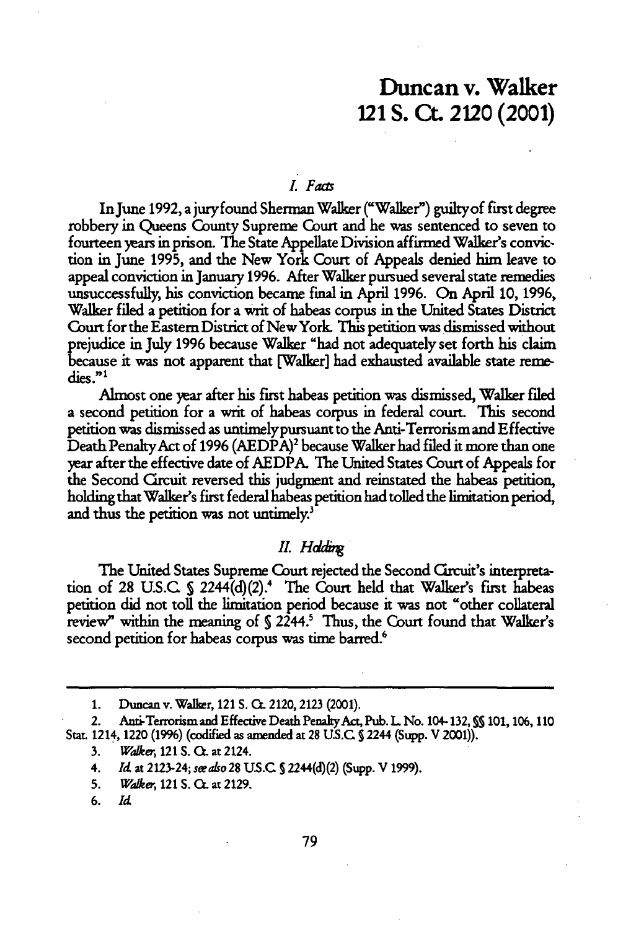### Duncan v. Walker 121 **S. Ct.** 2120 (2001)

#### *L Faz*

InJune 1992, a juryfound Sherman Walker ("Walker") guiltyof first degree robbery in Queens County Supreme Court and he was sentenced to seven to fourteen years in prison. **The** State Appellate Division affimed Walker's conviction in June **1995,** and the New York Court of Appeals denied him leave to appeal conviction in January **1996.** After Walker pursued several state remedies unsuccessfully, his conviction became final in April **1996.** On April **10, 1996,** Walker filed a petition for a writ of habeas corpus in the United States District Court for the Eastern District of NewYork. This petition was dismissed without trejudice in **July 1996** because Walker "had not adequately set forth his claim because it was not apparent that [Walker] had exhausted available state remedies."<sup>1</sup>

Almost one year after his first habeas petition was dismissed, Walker filed a second petition for a writ of habeas corpus in federal court. This second petition was dismissed as untimelypursuant to the Anti-Terrorism and Effective Death PenaltyAct of **1996** (AEDPA)2 because Walker had filed it more than one year after the effective date of AEDPA. The United States Court of Appeals for the Second Crcuit reversed this judgment and reinstated the habeas petition, holding that Walker's first federal habeas petition had tolled the limitation period, and thus the petition was not untimely. $3$ 

#### *II. Holding*

The United States Supreme Court rejected the Second Crcuit's interpretation of 28 U.S.C **S** 2244(d)(2).4 The Court held that Walker's first habeas petition did not toll the limitation period because it was not "other collateral review" within the meaning of **S** 2244.' Thus, the Court found that Walker's second petition for habeas corpus was time barred.<sup>6</sup>

**3.** *War,* 121 S. **C.** at 2124.

- **5.** *Wake,* 121 S. **CL** at 2129.
- **6.** *Id*

<sup>1.</sup> Duncan v. Walker, 121 S. Cr. 2120, 2123 (2001).

<sup>2.</sup> Anti-Terrorismand Effective Death PenakyAct, Pub. **L** No. 104-132, **SS** 101,106,110 Stat. 1214, 1220 (1996) (codified as amended at 28 **U.S.C S** 2244 (Supp. V 2001)).

<sup>4.</sup> *Id* at 2123-24; *seealso* **28 US.C S** 2244(d)(2) (Supp. V 1999).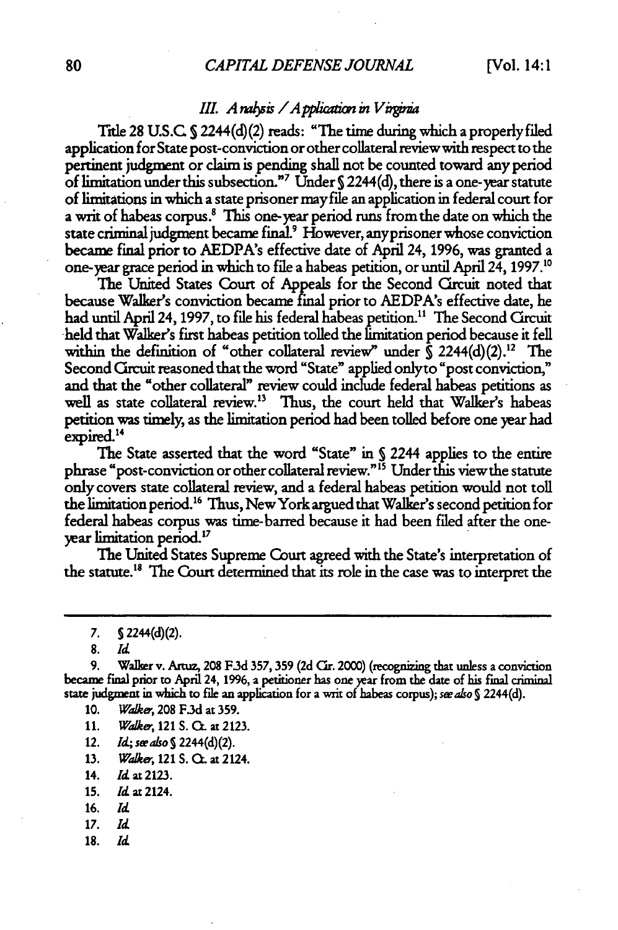#### *III.* A rabsis / A pplication in Virginia

Title 28 U.S.C. § 2244(d)(2) reads: "The time during which a properly filed application for State post-conviction or other collateral review with respect to the pertinent judgment or claim is pending shall not be counted toward any period of limitation under this subsection."' Under **S** 2244(d), there is a one-year statute of limitations in which a state prisoner mayfile an application in federal court for a writ of habeas corpus. **This** one-year period runs from the date on which the state criminal judgment became final' However, anyprisoner whose conviction became final prior to AEDPA's effective date of **April** 24, **1996,** was granted a one-year grace period in which to file a habeas petition, or until April 24, **1997."**

**The** United States Court of Appeals **for** the Second Clrcuit noted that because Walker's conviction became **final prior** to AEDPA's effective date, he had until April 24, 1997, to file his federal habeas petition.<sup>11</sup> The Second Grcuit held that Walker's first habeas petition tolled the limitation period because it fell within the definition of "other collateral review" under  $\int$  2244(d)(2).<sup>12</sup> The Second Crcuit reasoned that the word "State" applied onlyto "post conviction," and that the "other collateral" review could include federal habeas petitions as well as state collateral review." **Thus,** the court held that Walker's habeas petition was timely, as the limitation period had been tolled before one year had expired.<sup>14</sup>

The State asserted that the word "State" in **S** 2244 applies to the entire phrase "post-conviction or other collateral review.""5 Under this viewthe statute only covers state collateral review, and a federal habeas petition would not toll the limitation period.'6 Thus, New York argued that Walker's second petition for federal habeas corpus was time-barred because it had been filed after the oneyear limitation period."

**The** United States Supreme Court agreed with the State's interpretation of the statute. <sup>8</sup>**The** Court determined that its role in the case was to interpret the

**8.** *Id*

9. **Walker v. Artuz, 208 F.3d 357, 359 (2d Cir. 2000) (recognizing that unless a conviction** became final prior to April 24, **1996,** a petitioner has one year from the date of his final criminal state **judgment in which to fle** an application for a writ of habeas corpus); see *a/o S* 2244(d).

- **10.** *Wake,* **208 F.3d** at **359.**
- **11.** *Walke.,* 121 **S. Ca.** at **2123.**
- 12. *Id*; see also § 2244(d)(2).
- **13.** *Walker,* 121 **S.** 0. at 2124.
- 14. *Id at* 2123.
- 15. **Id** at 2124.
- 16. *Id*
- *17. Id*
- 18. *Id*

**<sup>7.</sup> S** 2244(d)(2).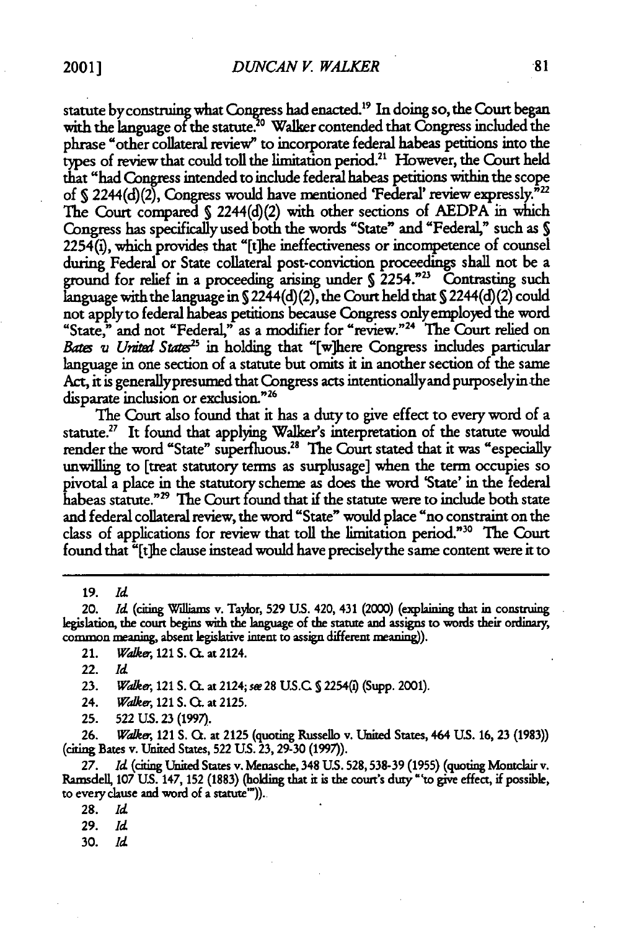statute by construing what Congress had enacted.<sup>19</sup> In doing so, the Court began with the language of the statute.<sup>20</sup> Walker contended that Congress included the phrase "other collateral review" to incorporate federal habeas petitions into the types of review that could toll the limitation period." However, the Court held that "had Congress intended to include federal habeas petitions within the scope of § 2244(d)(2), Congress would have mentioned 'Federal' review expressly.<sup>722</sup> The Court compared  $\S$  2244(d)(2) with other sections of AEDPA in which Congress has specifically used both the words "State" and "Federal," such as **S** 2254(), which provides that "[t]he ineffectiveness or incompetence of counsel during Federal or State collateral post-conviction proceedings shall not be a ground for relief in a proceeding arising under  $\frac{2254.^{n_{23}}}{260}$  Contrasting such language with the language in **S** 2244(d)(2), the Court held that **S** 2244(d)(2) could not applyto federal habeas petitions because Congress onlyemployed the word "State," and not "Federal," as a modifier for "review."<sup>24</sup> The Court relied on *Bates u United States*<sup>25</sup> in holding that "[w]here Congress includes particular language in one section of a statute but omits it in another section of the same Act, it is generallypresumed that Congress acts intentionallyand purposelyin the disparate inclusion or exclusion."<sup>26</sup>

The Court also found that it has a duty to give effect to every word of a statute.<sup>27</sup> It found that applying Walker's interpretation of the statute would render the word "State" superfluous.<sup>28</sup> The Court stated that it was "especially unwilling to [treat statutory terms as surplusage] when the term occupies so pivotal a place in the statutory scheme as does the word 'State' in the federal habeas statute."<sup>29</sup> The Court found that if the statute were to include both state and federal collateral review, the word "State" would place "no constraint on the class of applications for review that toll the limitation period."30 The Court found that "[t]he clause instead would have preciselythe same content were it to

19. *Id*

20. *Id* (citing Williams v. Taylor, **529** US. 420, 431 (2000) (explaining that in construing legislation, the court begins with the language of the statute and assigns to words their ordinary, common meaning, absent legislative intent to assign different meaning)).

21. *Wker,* 121 **S. C.** at 2124.

**23.** *Waker,* 121 **S.** O. at 2124; *se* 28 **US.C S** 2254(@ (Supp. 2001).

24. *Waker,* 121 **S. C.** at **2125.**

**25. 522 US. 23 (1997).**

26. *Walker,* 121 **S. Q.** at 2125 (quoting Russello v. United States, 464 **US.** 16, 23 (1983)) (citing Bates v. United States, 522 US. 23, 29-30 (1997)).

*27. Id* (citing United States v. Menasche, 348 US. 528,538-39 (1955) (quoting Montclair v. Ramsdell, **107 US.** 147, **152 (1883)** (holding that it is the court's duty "'to give effect, if possible, to every clause and word of a statute")).

**29.** *Id*

30. *Id*

<sup>22.</sup> *Id*

<sup>28.</sup> *Id*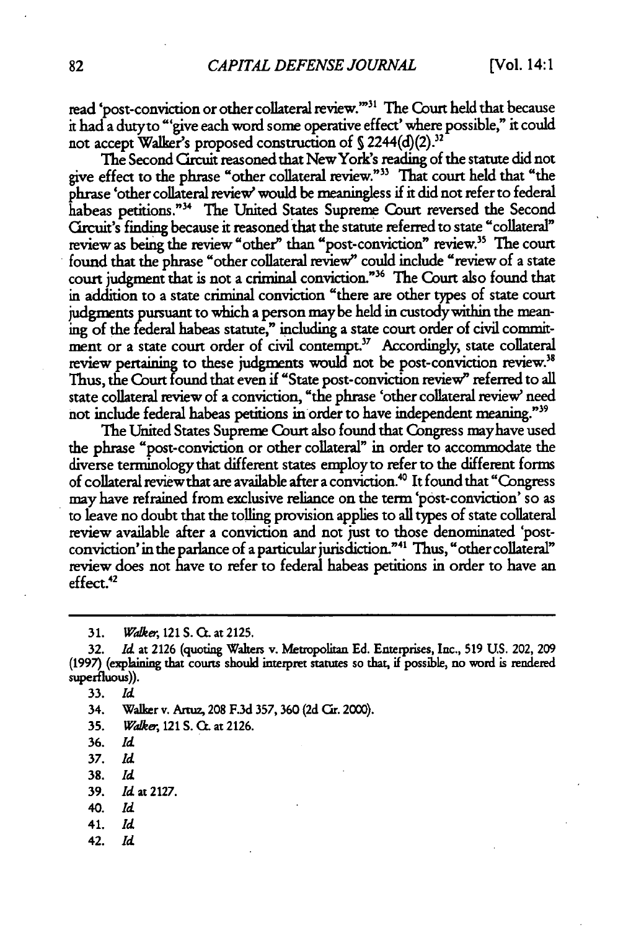read 'post-conviction or other collateral review.""1 The Court held that because it had a dutyto "'give each word some operative effect' where possible," it could not accept Walker's proposed construction of § 2244(d)(2).<sup>32</sup>

The Second Circuit reasoned that New York's reading of the statute did not give effect to the phrase "other collateral review.""3 That court held that "the phrase 'other collateral review' would be meaningless if it did not refer to federal habeas petitions."<sup>34</sup> The United States Supreme Court reversed the Second Crcuit's finding because it reasoned that the statute referred to state "collateral" review as being the review "other" than "post-conviction" review.<sup>35</sup> The court found that the phrase "other collateral review" could include "review of a state court judgment that is not a criminal conviction."36 The Court also found that in addition to a state criminal conviction "there are other types of state court judgments pursuant to which a person may be held in custody within the meaning of the federal habeas statute," including a state court order of civil commitment or a state court order of civil contempt.<sup>37</sup> Accordingly, state collateral review pertaining to these judgments would not be post-conviction review.<sup>38</sup> Thus, the Court found that even if "State post-conviction review" referred to all state collateral review of a conviction, "the phrase 'other collateral review need not include federal habeas petitions in order to have independent meaning."<sup>39</sup>

The United States Supreme Court also found that Congress mayhave used the phrase "post-conviction or other collateral" in order to accommodate the diverse terminology that different states employ to refer to the different forms of collateral review that are available after a conviction.<sup>40</sup> It found that "Congress may have refrained from exclusive reliance on the term 'post-conviction' so as to leave no doubt that the tolling provision applies to all types of state collateral review available after a conviction and not just to those denominated 'postconviction' in the parlance of a particular jurisdiction.""' Thus, "other collateral" review does not have to refer to federal habeas petitions in order to have an effect.<sup>42</sup>

**31.** *Wakeer,* 121 **S.** CO. at **2125.**

33. *Id*

34. Walker v. Artuz, 208 F.3d 357, 360 (2d *CAr.* 2000).

- 35. *Waker,* 121 S. C. at 2126.
- 36. *Id*
- **37.** *Id*
- **38.** *Id*
- **39.** *Id* at **2127.**
- 40. *Id*
- 41. *Id*
- 42. *Id*

<sup>32.</sup> *Id* at 2126 (quoting Walters v. Metropolitan Ed. Enterprises, Inc., **519** US. 202, 209 (1997) (explaining that courts should interpret statutes so that, if possible, no word is rendered superfluous)).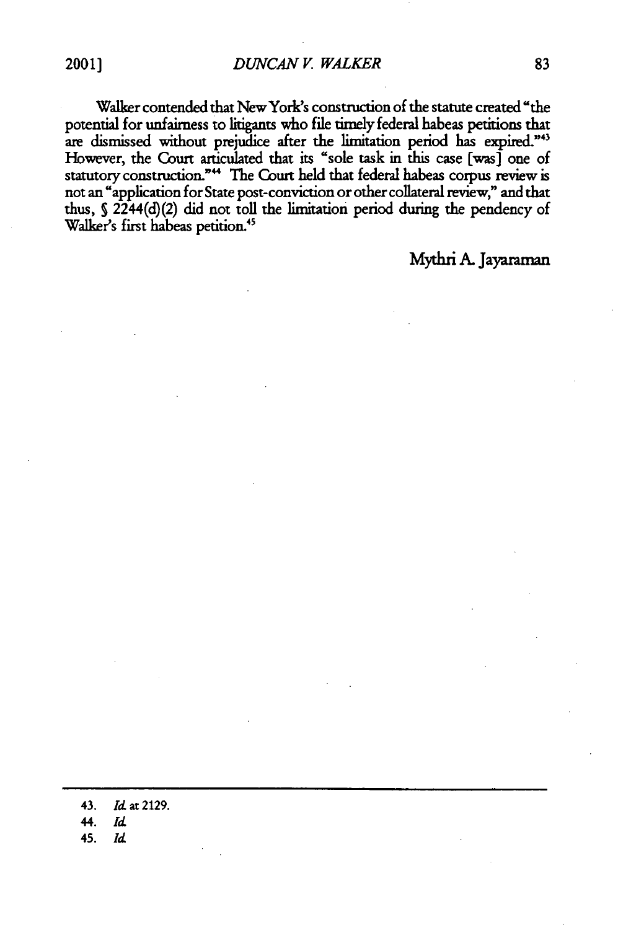Walker contended that New York's construction of the statute created "the potential **for** unfairness **to** litigants who file timely federal habeas petitions that are dismissed without prejudice after the limitation period has expired."43 However, the Court articulated that its "sole task in this case [was] one of statutory construction."<sup>44</sup> The Court held that federal habeas corpus review is not an "application for State post-conviction or other collateral review," and that thus, **S** 2244(d)(2) did not toll the limitation period during the pendency of Walker's first habeas petition.<sup>45</sup>

Mythri A. Jayaraman

43. *Id* at 2129. 44. *id* 45. *Id*